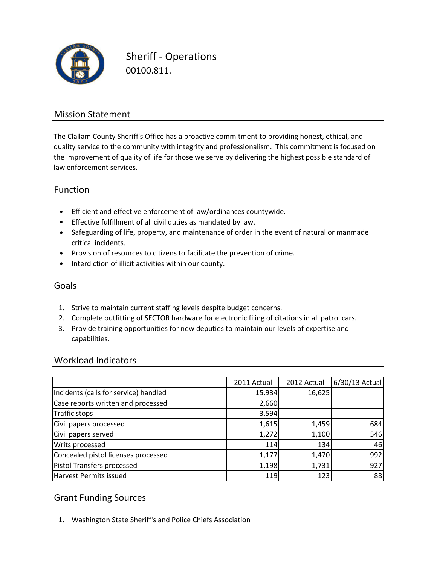

Sheriff - Operations 00100.811.

## Mission Statement

The Clallam County Sheriff's Office has a proactive commitment to providing honest, ethical, and quality service to the community with integrity and professionalism. This commitment is focused on the improvement of quality of life for those we serve by delivering the highest possible standard of law enforcement services.

## Function

- Efficient and effective enforcement of law/ordinances countywide.
- Effective fulfillment of all civil duties as mandated by law.
- Safeguarding of life, property, and maintenance of order in the event of natural or manmade critical incidents.
- Provision of resources to citizens to facilitate the prevention of crime.
- Interdiction of illicit activities within our county.

#### Goals

- 1. Strive to maintain current staffing levels despite budget concerns.
- 2. Complete outfitting of SECTOR hardware for electronic filing of citations in all patrol cars.
- 3. Provide training opportunities for new deputies to maintain our levels of expertise and capabilities.

#### Workload Indicators

|                                       | 2011 Actual | 2012 Actual | 6/30/13 Actual |
|---------------------------------------|-------------|-------------|----------------|
| Incidents (calls for service) handled | 15,934      | 16,625      |                |
| Case reports written and processed    | 2,660       |             |                |
| Traffic stops                         | 3,594       |             |                |
| Civil papers processed                | 1,615       | 1,459       | 684            |
| Civil papers served                   | 1,272       | 1,100       | 546            |
| Writs processed                       | 114         | 134         | 46             |
| Concealed pistol licenses processed   | 1,177       | 1,470       | 992            |
| Pistol Transfers processed            | 1,198       | 1,731       | 927            |
| Harvest Permits issued                | 119         | 123         | 88             |

## Grant Funding Sources

1. Washington State Sheriff's and Police Chiefs Association